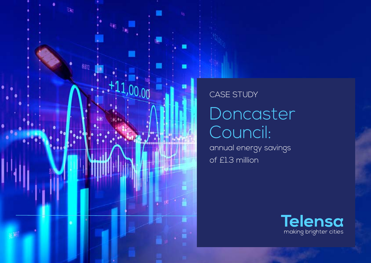

## Doncaster Council: CASE STUDY

annual energy savings of £1.3 million

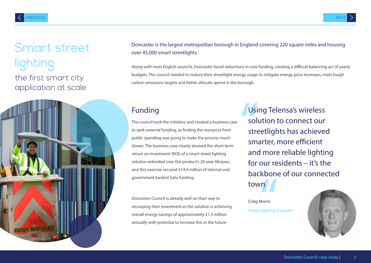# lighting the first smart city

application at scale



Smant street boncaster is the largest metropolitan borough in England covering 220 square miles and housing over 45,000 smart streetlights.

Along with most English councils, Doncaster faced reductions in core funding, creating a difficult balancing act of yearly budgets. The council needed to reduce their streetlight energy usage to mitigate energy price increases, meet tough carbon emissions targets and better allocate spend in the borough.

#### Funding

The council took the initiative and created a business case to seek external funding, as finding the resources from public spending was going to make the process much slower. The business case clearly showed the short-term return on investment (ROI) of a smart street lighting solution extended over the product's 20-year lifespan, and this exercise secured £14.4 million of internal and government backed Salix funding.

Doncaster Council is already well on their way to recouping their investment as the solution is achieving overall energy savings of approximately £1.3 million annually with potential to increase this in the future.

Usi<br>solu<br>stre<br>sm Using Telensa's wireless solution to connect our streetlights has achieved smarter, more efficient and more reliable lighting for our residents – it's the backbone of our connected town

**THE STATE STATE**<br>Morris<br>Lighting E Craig Morris Street Lighting Engineer

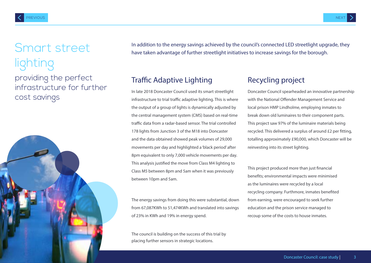## Smart street lighting

providing the perfect infrastructure for further cost savings



In addition to the energy savings achieved by the council's connected LED streetlight upgrade, they have taken advantage of further streetlight initiatives to increase savings for the borough.

### Traffic Adaptive Lighting

In late 2018 Doncaster Council used its smart streetlight infrastructure to trial traffic adaptive lighting. This is where the output of a group of lights is dynamically adjusted by the central management system (CMS) based on real-time traffic data from a radar-based sensor. The trial controlled 178 lights from Junction 3 of the M18 into Doncaster and the data obtained showed peak volumes of 29,000 movements per day and highlighted a 'black period' after 8pm equivalent to only 7,000 vehicle movements per day. This analysis justified the move from Class M4 lighting to Class M5 between 8pm and 5am when it was previously between 10pm and 5am.

The energy savings from doing this were substantial, down from 67,087KWh to 51,474KWh and translated into savings of 23% in KWh and 19% in energy spend.

The council is building on the success of this trial by placing further sensors in strategic locations.

#### Recycling project

Doncaster Council spearheaded an innovative partnership with the National Offender Management Service and local prison HMP Lindholme, employing inmates to break down old luminaires to their component parts. This project saw 97% of the luminaire materials being recycled. This delivered a surplus of around £2 per fitting, totalling approximately £90,000, which Doncaster will be reinvesting into its street lighting.

This project produced more than just financial benefits; environmental impacts were minimised as the luminaires were recycled by a local recycling company. Furthmore, inmates benefited from earning, were encouraged to seek further education and the prison service managed to recoup some of the costs to house inmates.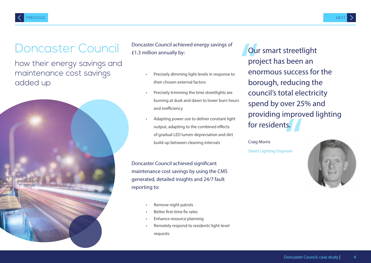### Doncaster Council

how their energy savings and maintenance cost savings added up



Doncaster Council achieved energy savings of EXECUTE: LEGINGING COMMUNICATION CONTINUES ON THE STATE STRING OUR SMART STREETIGHT

- Precisely dimming light levels in response to their chosen external factors
- Precisely trimming the time streetlights are burning at dusk and dawn to lower burn hours and inefficiency
- Adapting power use to deliver constant light output, adapting to the combined effects of gradual LED lumen depreciation and dirt build-up between cleaning intervals

Doncaster Council achieved significant maintenance cost savings by using the CMS generated, detailed insights and 24/7 fault reporting to:

- Remove night patrols
- Better first-time fix rates
- Enhance resource planning
- Remotely respond to residents' light-level requests

Ou<br>pro<br>end<br>bor mprov<br>ts.<br>neer project has been an enormous success for the borough, reducing the council's total electricity spend by over 25% and providing improved lighting for residents.

#### Craig Morris

Street Lighting Engineer